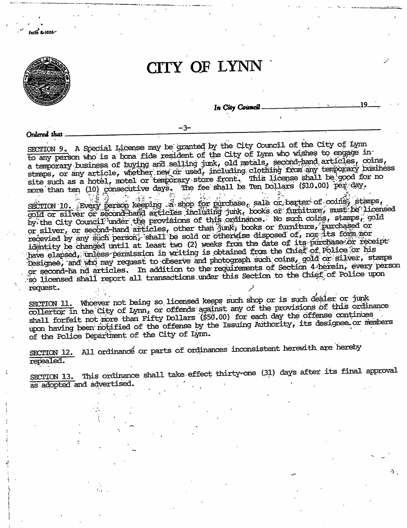

SECTION 9. A Special License may be granted by the City Council of the City of Lynn to any person who is a bona fide resident of the City of Lynn who wishes to engage in a temporary business of buying and selling junk, old metals, second-hand articles, coins, stmaps, or any article, whether new or used, including clothing from any temporary business site such as a hotel, motel or temporary store front. This license shall be good for no<br>more than ten (10) consecutive days. The fee shall be Ten Dollars (\$10.00) per day.

SECTION 10. Every person keeping a shop for purchase, sale or barter of coins, stamps, by the City Council funder the provisions of this ordinance. No such coins, stamps, gold<br>or silver, or second-hand articles, other than junk, books or furniture, purchased or recevied by any such person, shall be sold or otherwise disposed of, nor its form nor identity be changed until at least two (2) weeks from the date of its purchase or receipt: have elapsed, unless permission in writing is obtained from the Chief of Police or his Designee, and who may request to observe and photograph such coins, gold or silver, stamps or second-ha nd articles. In addition to the requirements of Section 4 herein, every person so licensed shall report all transactions under this Section to the Chief of Police upon request.

SECTION 11. Whoever not being so licensed keeps such shop or is such dealer or junk collertor in the City of Lynn, or offends against any of the provisions of this ordinance shall forfeit not more than Fifty Dollars (\$50.00) for each day the offense continues upon having been notified of the offense by the Issuing Authority, its designee or members of the Police Department of the City of Lynn.

SECTION 12. All ordinance or parts of ordinances inconsistent herewith are hereby repealed.

SECTION 13. This ordinance shall take effect thirty-one (31) days after its final approval as adopted and advertised.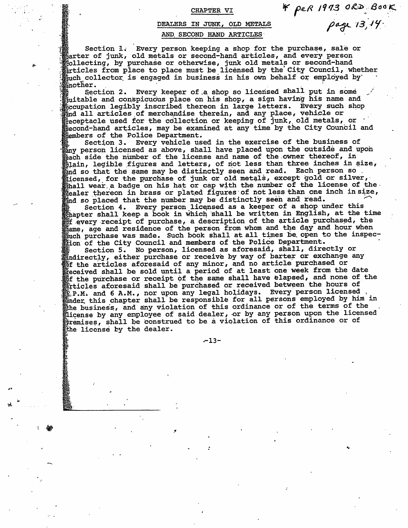## CHAPTER VI

## DEALERS IN JUNK, OLD METALS AND SECOND HAND ARTICLES

Section 1. Every person keeping a shop for the purchase, sale or  $\delta$ arter of junk, old metals or second-hand articles, and every person collecting, by purchase or otherwise, junk old metals or second-hand<br>pricles from place to place must be licensed by the City Council, whether  $\rm _{E}^{\ast}$ uch collector is engaged in business in his own behalf or employed by another.

Every keeper of a shop so licensed shall put in some Section 2. suitable and conspicuous place on his shop, a sign having his name and coupation legibly inscribed thereon in large letters. Every such shop and all articles of merchandise therein, and any place, vehicle or  $\frac{1}{2}$ eceptacle used for the collection or keeping of junk, old metals, or second-hand articles, may be examined at any time by the City Council and **Members of the Police Department.** 

Section 3. Every vehicle used in the exercise of the business of any person licensed as above, shall have placed upon the outside and upon  $_{\tt back}$  side the number of the license and name of the owner thereof, in  $_{\rm 51ain}$ , legible figures and letters, of not less than three inches in size, and so that the same may be distinctly seen and read. Each person so. icensed, for the purchase of junk or old metals, except gold or silver, shall wear a badge on his hat or cap with the number of the license of the. Realer thereon in brass or plated figures of not less than one inch insize, and so placed that the number may be distinctly seen and read.

Section 4. Every person licensed as a keeper of a shop under this thapter shall keep a book in which shall be written in English, at the time of every receipt of purchase, a description of the article purchased, the hame, age and residence of the person from whom and the day and hour when which purchase was made. Such book shall at all times be open to the inspec-<br>tion of the City Council and members of the Police Department.

Section 5. No person, licensed as aforesaid, shall, directly or mindirectly, either purchase or receive by way of barter or exchange any Wof the articles aforesaid of any minor, and no article purchased or feceived shall be sold until a period of at least one week from the date of the purchase or receipt of the same shall have elapsed, and none of the grticles aforesaid shall be purchased or received between the hours of E.P.M. and 6 A.M., nor upon any legal holidays. Every person licensed inder this chapter shall be responsible for all persons employed by him in the business, and any violation of this ordinance or of the terms of the license by any employee of said dealer, or by any person upon the licensed<br>premises, shall be construed to be a violation of this ordinance or of the license by the dealer.